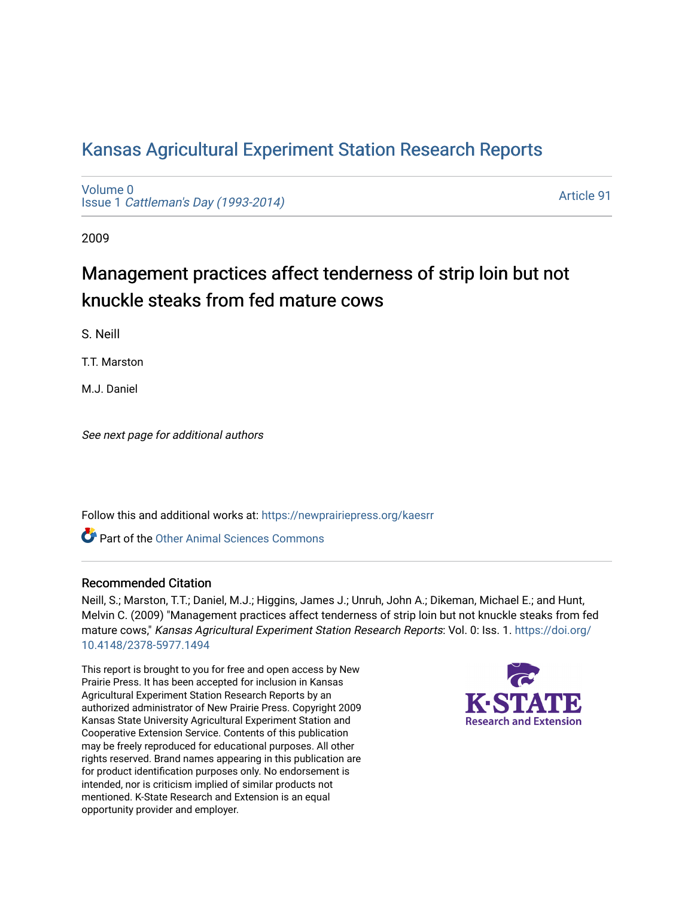# [Kansas Agricultural Experiment Station Research Reports](https://newprairiepress.org/kaesrr)

[Volume 0](https://newprairiepress.org/kaesrr/vol0) Issue 1 [Cattleman's Day \(1993-2014\)](https://newprairiepress.org/kaesrr/vol0/iss1) 

[Article 91](https://newprairiepress.org/kaesrr/vol0/iss1/91) 

2009

# Management practices affect tenderness of strip loin but not knuckle steaks from fed mature cows

S. Neill

T.T. Marston

M.J. Daniel

See next page for additional authors

Follow this and additional works at: [https://newprairiepress.org/kaesrr](https://newprairiepress.org/kaesrr?utm_source=newprairiepress.org%2Fkaesrr%2Fvol0%2Fiss1%2F91&utm_medium=PDF&utm_campaign=PDFCoverPages) 

Part of the [Other Animal Sciences Commons](http://network.bepress.com/hgg/discipline/82?utm_source=newprairiepress.org%2Fkaesrr%2Fvol0%2Fiss1%2F91&utm_medium=PDF&utm_campaign=PDFCoverPages)

### Recommended Citation

Neill, S.; Marston, T.T.; Daniel, M.J.; Higgins, James J.; Unruh, John A.; Dikeman, Michael E.; and Hunt, Melvin C. (2009) "Management practices affect tenderness of strip loin but not knuckle steaks from fed mature cows," Kansas Agricultural Experiment Station Research Reports: Vol. 0: Iss. 1. [https://doi.org/](https://doi.org/10.4148/2378-5977.1494) [10.4148/2378-5977.1494](https://doi.org/10.4148/2378-5977.1494)

This report is brought to you for free and open access by New Prairie Press. It has been accepted for inclusion in Kansas Agricultural Experiment Station Research Reports by an authorized administrator of New Prairie Press. Copyright 2009 Kansas State University Agricultural Experiment Station and Cooperative Extension Service. Contents of this publication may be freely reproduced for educational purposes. All other rights reserved. Brand names appearing in this publication are for product identification purposes only. No endorsement is intended, nor is criticism implied of similar products not mentioned. K-State Research and Extension is an equal opportunity provider and employer.

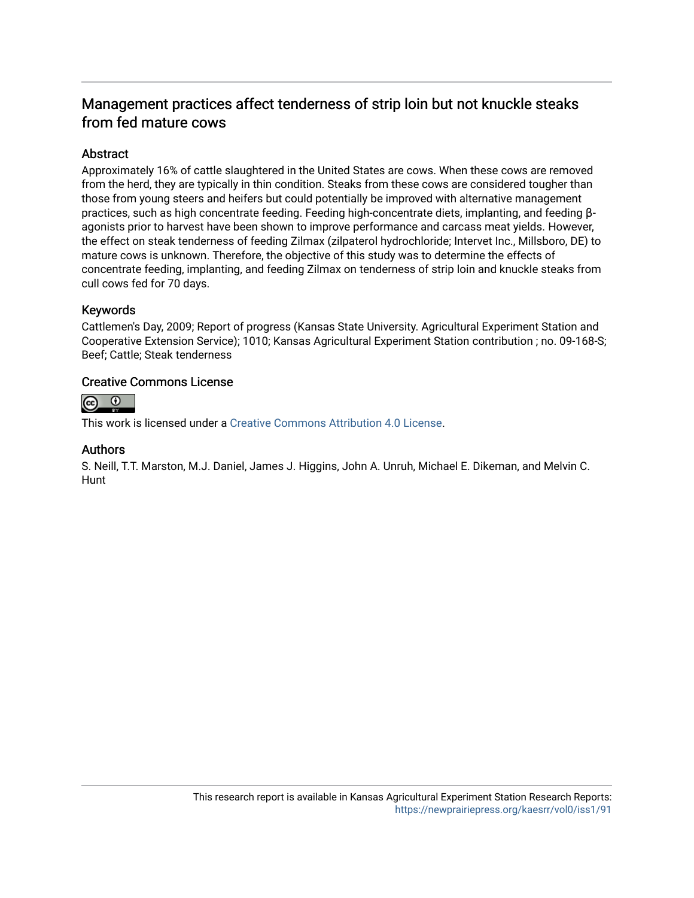## Management practices affect tenderness of strip loin but not knuckle steaks from fed mature cows

## Abstract

Approximately 16% of cattle slaughtered in the United States are cows. When these cows are removed from the herd, they are typically in thin condition. Steaks from these cows are considered tougher than those from young steers and heifers but could potentially be improved with alternative management practices, such as high concentrate feeding. Feeding high-concentrate diets, implanting, and feeding βagonists prior to harvest have been shown to improve performance and carcass meat yields. However, the effect on steak tenderness of feeding Zilmax (zilpaterol hydrochloride; Intervet Inc., Millsboro, DE) to mature cows is unknown. Therefore, the objective of this study was to determine the effects of concentrate feeding, implanting, and feeding Zilmax on tenderness of strip loin and knuckle steaks from cull cows fed for 70 days.

### Keywords

Cattlemen's Day, 2009; Report of progress (Kansas State University. Agricultural Experiment Station and Cooperative Extension Service); 1010; Kansas Agricultural Experiment Station contribution ; no. 09-168-S; Beef; Cattle; Steak tenderness

### Creative Commons License



This work is licensed under a [Creative Commons Attribution 4.0 License](https://creativecommons.org/licenses/by/4.0/).

### Authors

S. Neill, T.T. Marston, M.J. Daniel, James J. Higgins, John A. Unruh, Michael E. Dikeman, and Melvin C. Hunt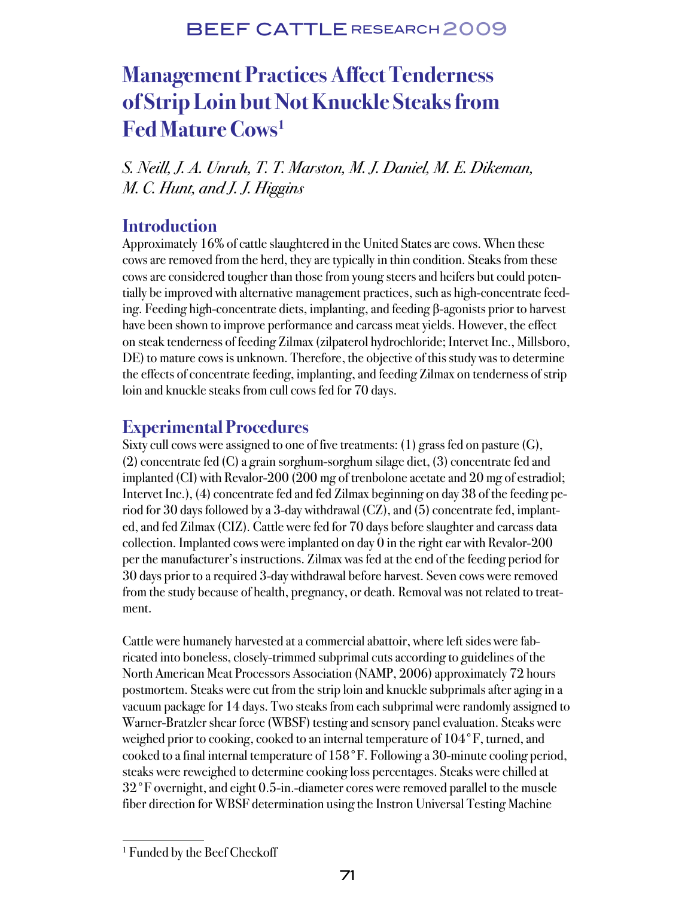# BEEF CATTLE RESEARCH 2009

# **Management Practices Affect Tenderness of Strip Loin but Not Knuckle Steaks from Fed Mature Cows1**

S. Neill, J. A. Unruh, T. T. Marston, M. J. Daniel, M. E. Dikeman, M. C. Hunt, and J. J. Higgins

## **Introduction**

Approximately 16% of cattle slaughtered in the United States are cows. When these cows are removed from the herd, they are typically in thin condition. Steaks from these cows are considered tougher than those from young steers and heifers but could potentially be improved with alternative management practices, such as high-concentrate feeding. Feeding high-concentrate diets, implanting, and feeding β-agonists prior to harvest have been shown to improve performance and carcass meat yields. However, the effect on steak tenderness of feeding Zilmax (zilpaterol hydrochloride; Intervet Inc., Millsboro, DE) to mature cows is unknown. Therefore, the objective of this study was to determine the effects of concentrate feeding, implanting, and feeding Zilmax on tenderness of strip loin and knuckle steaks from cull cows fed for 70 days.

# **Experimental Procedures**

Sixty cull cows were assigned to one of five treatments: (1) grass fed on pasture (G), (2) concentrate fed (C) a grain sorghum-sorghum silage diet, (3) concentrate fed and implanted (CI) with Revalor-200 (200 mg of trenbolone acetate and 20 mg of estradiol; Intervet Inc.), (4) concentrate fed and fed Zilmax beginning on day 38 of the feeding period for 30 days followed by a 3-day withdrawal (CZ), and (5) concentrate fed, implanted, and fed Zilmax (CIZ). Cattle were fed for 70 days before slaughter and carcass data collection. Implanted cows were implanted on day 0 in the right ear with Revalor-200 per the manufacturer's instructions. Zilmax was fed at the end of the feeding period for 30 days prior to a required 3-day withdrawal before harvest. Seven cows were removed from the study because of health, pregnancy, or death. Removal was not related to treatment.

Cattle were humanely harvested at a commercial abattoir, where left sides were fabricated into boneless, closely-trimmed subprimal cuts according to guidelines of the North American Meat Processors Association (NAMP, 2006) approximately 72 hours postmortem. Steaks were cut from the strip loin and knuckle subprimals after aging in a vacuum package for 14 days. Two steaks from each subprimal were randomly assigned to Warner-Bratzler shear force (WBSF) testing and sensory panel evaluation. Steaks were weighed prior to cooking, cooked to an internal temperature of 104°F, turned, and cooked to a final internal temperature of 158°F. Following a 30-minute cooling period, steaks were reweighed to determine cooking loss percentages. Steaks were chilled at 32°F overnight, and eight 0.5-in.-diameter cores were removed parallel to the muscle fiber direction for WBSF determination using the Instron Universal Testing Machine

<sup>&</sup>lt;sup>1</sup> Funded by the Beef Checkoff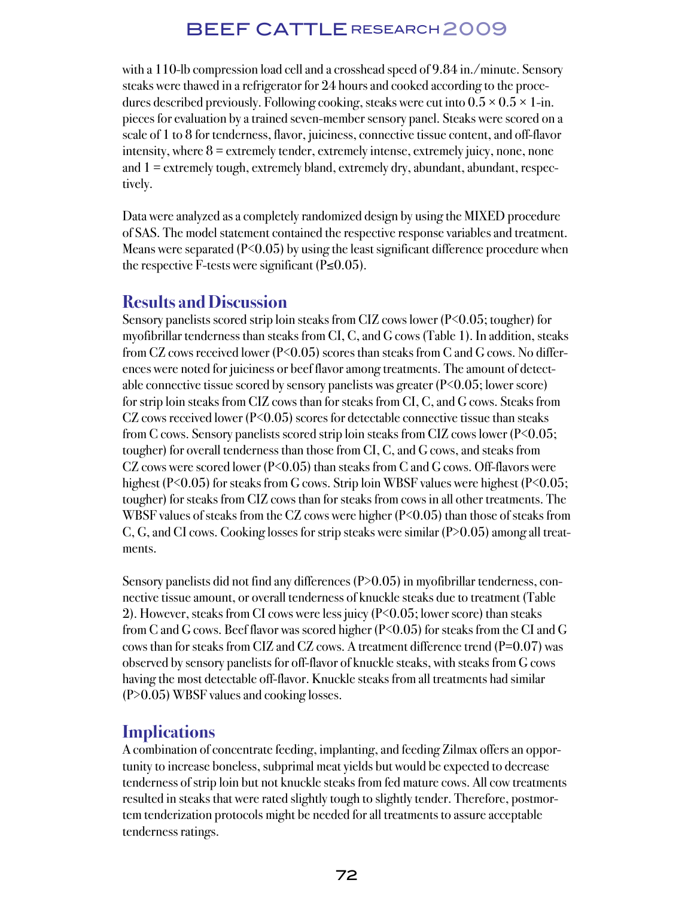# BEEF CATTLE RESEARCH 2009

with a 110-lb compression load cell and a crosshead speed of 9.84 in./minute. Sensory steaks were thawed in a refrigerator for 24 hours and cooked according to the procedures described previously. Following cooking, steaks were cut into  $0.5 \times 0.5 \times 1$ -in. pieces for evaluation by a trained seven-member sensory panel. Steaks were scored on a scale of 1 to 8 for tenderness, flavor, juiciness, connective tissue content, and off-flavor intensity, where 8 = extremely tender, extremely intense, extremely juicy, none, none and 1 = extremely tough, extremely bland, extremely dry, abundant, abundant, respectively.

Data were analyzed as a completely randomized design by using the MIXED procedure of SAS. The model statement contained the respective response variables and treatment. Means were separated ( $P \leq 0.05$ ) by using the least significant difference procedure when the respective F-tests were significant  $(P \le 0.05)$ .

## **Results and Discussion**

Sensory panelists scored strip loin steaks from CIZ cows lower (P<0.05; tougher) for myofibrillar tenderness than steaks from CI, C, and G cows (Table 1). In addition, steaks from CZ cows received lower ( $P \le 0.05$ ) scores than steaks from C and G cows. No differences were noted for juiciness or beef flavor among treatments. The amount of detectable connective tissue scored by sensory panelists was greater  $(P< 0.05;$  lower score) for strip loin steaks from CIZ cows than for steaks from CI, C, and G cows. Steaks from  $CZ$  cows received lower ( $P<0.05$ ) scores for detectable connective tissue than steaks from C cows. Sensory panelists scored strip loin steaks from CIZ cows lower ( $P<0.05$ ; tougher) for overall tenderness than those from CI, C, and G cows, and steaks from CZ cows were scored lower (P<0.05) than steaks from C and G cows. Off-flavors were highest (P<0.05) for steaks from G cows. Strip loin WBSF values were highest (P<0.05; tougher) for steaks from CIZ cows than for steaks from cows in all other treatments. The WBSF values of steaks from the CZ cows were higher (P<0.05) than those of steaks from C, G, and CI cows. Cooking losses for strip steaks were similar (P>0.05) among all treatments.

Sensory panelists did not find any differences (P>0.05) in myofibrillar tenderness, connective tissue amount, or overall tenderness of knuckle steaks due to treatment (Table 2). However, steaks from CI cows were less juicy (P<0.05; lower score) than steaks from C and G cows. Beef flavor was scored higher (P<0.05) for steaks from the CI and G cows than for steaks from CIZ and CZ cows. A treatment difference trend  $(P=0.07)$  was observed by sensory panelists for off-flavor of knuckle steaks, with steaks from G cows having the most detectable off-flavor. Knuckle steaks from all treatments had similar (P>0.05) WBSF values and cooking losses.

## **Implications**

A combination of concentrate feeding, implanting, and feeding Zilmax offers an opportunity to increase boneless, subprimal meat yields but would be expected to decrease tenderness of strip loin but not knuckle steaks from fed mature cows. All cow treatments resulted in steaks that were rated slightly tough to slightly tender. Therefore, postmortem tenderization protocols might be needed for all treatments to assure acceptable tenderness ratings.